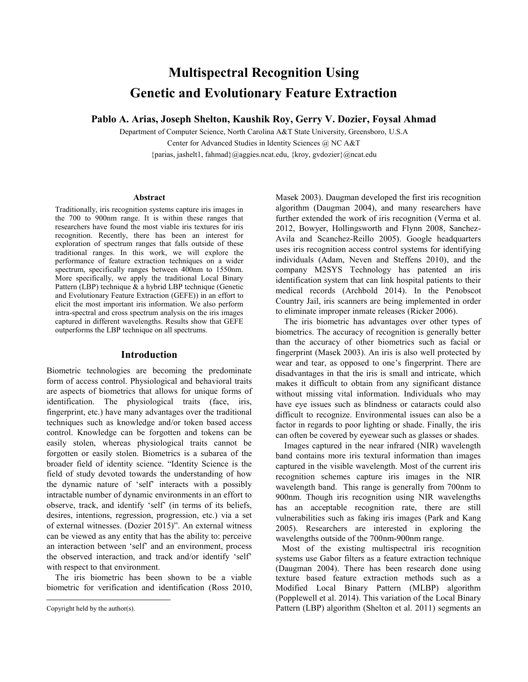# **Multispectral Recognition Using Genetic and Evolutionary Feature Extraction**

**Pablo A. Arias, Joseph Shelton, Kaushik Roy, Gerry V. Dozier, Foysal Ahmad**

Department of Computer Science, North Carolina A&T State University, Greensboro, U.S.A Center for Advanced Studies in Identity Sciences @ NC A&T {parias, jashelt1, fahmad}@aggies.ncat.edu, {kroy, gvdozier}@ncat.edu

#### **Abstract**

Traditionally, iris recognition systems capture iris images in the 700 to 900nm range. It is within these ranges that researchers have found the most viable iris textures for iris recognition. Recently, there has been an interest for exploration of spectrum ranges that falls outside of these traditional ranges. In this work, we will explore the performance of feature extraction techniques on a wider spectrum, specifically ranges between 400nm to 1550nm. More specifically, we apply the traditional Local Binary Pattern (LBP) technique  $\&$  a hybrid LBP technique (Genetic and Evolutionary Feature Extraction (GEFE)) in an effort to elicit the most important iris information. We also perform intra-spectral and cross spectrum analysis on the iris images captured in different wavelengths. Results show that GEFE outperforms the LBP technique on all spectrums.

## **Introduction**

Biometric technologies are becoming the predominate form of access control. Physiological and behavioral traits are aspects of biometrics that allows for unique forms of identification. The physiological traits (face, iris, fingerprint, etc.) have many advantages over the traditional techniques such as knowledge and/or token based access control. Knowledge can be forgotten and tokens can be easily stolen, whereas physiological traits cannot be forgotten or easily stolen. Biometrics is a subarea of the broader field of identity science. "Identity Science is the field of study devoted towards the understanding of how the dynamic nature of 'self' interacts with a possibly intractable number of dynamic environments in an effort to observe, track, and identify 'self' (in terms of its beliefs, desires, intentions, regression, progression, etc.) via a set of external witnesses. (Dozier 2015)". An external witness can be viewed as any entity that has the ability to: perceive an interaction between 'self' and an environment, process the observed interaction, and track and/or identify 'self' with respect to that environment.

The iris biometric has been shown to be a viable biometric for verification and identification (Ross 2010,

l

Masek 2003). Daugman developed the first iris recognition algorithm (Daugman 2004), and many researchers have further extended the work of iris recognition (Verma et al. 2012, Bowyer, Hollingsworth and Flynn 2008, Sanchez-Avila and Scanchez-Reillo 2005). Google headquarters uses iris recognition access control systems for identifying individuals (Adam, Neven and Steffens 2010), and the company M2SYS Technology has patented an iris identification system that can link hospital patients to their medical records (Archbold 2014). In the Penobscot Country Jail, iris scanners are being implemented in order to eliminate improper inmate releases (Ricker 2006).

The iris biometric has advantages over other types of biometrics. The accuracy of recognition is generally better than the accuracy of other biometrics such as facial or fingerprint (Masek 2003). An iris is also well protected by wear and tear, as opposed to one's fingerprint. There are disadvantages in that the iris is small and intricate, which makes it difficult to obtain from any significant distance without missing vital information. Individuals who may have eye issues such as blindness or cataracts could also difficult to recognize. Environmental issues can also be a factor in regards to poor lighting or shade. Finally, the iris can often be covered by eyewear such as glasses or shades.

Images captured in the near infrared (NIR) wavelength band contains more iris textural information than images captured in the visible wavelength. Most of the current iris recognition schemes capture iris images in the NIR wavelength band. This range is generally from 700nm to 900nm. Though iris recognition using NIR wavelengths has an acceptable recognition rate, there are still vulnerabilities such as faking iris images (Park and Kang 2005). Researchers are interested in exploring the wavelengths outside of the 700nm-900nm range.

 Most of the existing multispectral iris recognition systems use Gabor filters as a feature extraction technique (Daugman 2004). There has been research done using texture based feature extraction methods such as a Modified Local Binary Pattern (MLBP) algorithm (Popplewell et al. 2014). This variation of the Local Binary Pattern (LBP) algorithm (Shelton et al. 2011) segments an

Copyright held by the author(s).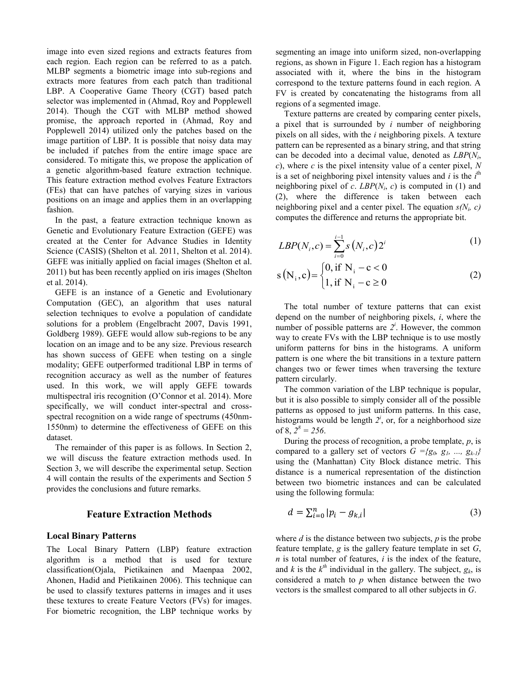image into even sized regions and extracts features from each region. Each region can be referred to as a patch. MLBP segments a biometric image into sub-regions and extracts more features from each patch than traditional LBP. A Cooperative Game Theory (CGT) based patch selector was implemented in (Ahmad, Roy and Popplewell 2014). Though the CGT with MLBP method showed promise, the approach reported in (Ahmad, Roy and Popplewell 2014) utilized only the patches based on the image partition of LBP. It is possible that noisy data may be included if patches from the entire image space are considered. To mitigate this, we propose the application of a genetic algorithm-based feature extraction technique. This feature extraction method evolves Feature Extractors (FEs) that can have patches of varying sizes in various positions on an image and applies them in an overlapping fashion.

In the past, a feature extraction technique known as Genetic and Evolutionary Feature Extraction (GEFE) was created at the Center for Advance Studies in Identity Science (CASIS) (Shelton et al. 2011, Shelton et al. 2014). GEFE was initially applied on facial images (Shelton et al. 2011) but has been recently applied on iris images (Shelton et al. 2014).

GEFE is an instance of a Genetic and Evolutionary Computation (GEC), an algorithm that uses natural selection techniques to evolve a population of candidate solutions for a problem (Engelbracht 2007, Davis 1991, Goldberg 1989). GEFE would allow sub-regions to be any location on an image and to be any size. Previous research has shown success of GEFE when testing on a single modality; GEFE outperformed traditional LBP in terms of recognition accuracy as well as the number of features used. In this work, we will apply GEFE towards multispectral iris recognition (O'Connor et al. 2014). More specifically, we will conduct inter-spectral and crossspectral recognition on a wide range of spectrums (450nm-1550nm) to determine the effectiveness of GEFE on this dataset.

The remainder of this paper is as follows. In Section 2, we will discuss the feature extraction methods used. In Section 3, we will describe the experimental setup. Section 4 will contain the results of the experiments and Section 5 provides the conclusions and future remarks.

## **Feature Extraction Methods**

### **Local Binary Patterns**

The Local Binary Pattern (LBP) feature extraction algorithm is a method that is used for texture classification(Ojala, Pietikainen and Maenpaa 2002, Ahonen, Hadid and Pietikainen 2006). This technique can be used to classify textures patterns in images and it uses these textures to create Feature Vectors (FVs) for images. For biometric recognition, the LBP technique works by

segmenting an image into uniform sized, non-overlapping regions, as shown in Figure 1. Each region has a histogram associated with it, where the bins in the histogram correspond to the texture patterns found in each region. A FV is created by concatenating the histograms from all regions of a segmented image.

Texture patterns are created by comparing center pixels, a pixel that is surrounded by *i* number of neighboring pixels on all sides, with the *i* neighboring pixels. A texture pattern can be represented as a binary string, and that string can be decoded into a decimal value, denoted as *LBP*(*N<sup>i</sup>* , *c*), where *c* is the pixel intensity value of a center pixel, *N* is a set of neighboring pixel intensity values and  $i$  is the  $i<sup>th</sup>$ neighboring pixel of *c*.  $LBP(N_i, c)$  is computed in (1) and (2), where the difference is taken between each neighboring pixel and a center pixel. The equation  $s(N_i, c)$ computes the difference and returns the appropriate bit.

$$
LBP(N_i, c) = \sum_{i=0}^{i-1} s(N_i, c) 2^i
$$
 (1)

$$
s(N_i, c) = \begin{cases} 0, \text{if } N_i - c < 0 \\ 1, \text{if } N_i - c \ge 0 \end{cases}
$$
 (2)

The total number of texture patterns that can exist depend on the number of neighboring pixels, *i*, where the number of possible patterns are  $2^i$ . However, the common way to create FVs with the LBP technique is to use mostly uniform patterns for bins in the histograms. A uniform pattern is one where the bit transitions in a texture pattern changes two or fewer times when traversing the texture pattern circularly.

The common variation of the LBP technique is popular, but it is also possible to simply consider all of the possible patterns as opposed to just uniform patterns. In this case, histograms would be length  $2^i$ , or, for a neighborhood size of 8,  $2^8 = 256$ .

During the process of recognition, a probe template, *p*, is compared to a gallery set of vectors  $G = \{g_0, g_1, ..., g_{k-l}\}\$ using the (Manhattan) City Block distance metric. This distance is a numerical representation of the distinction between two biometric instances and can be calculated using the following formula:

$$
d = \sum_{i=0}^{n} |p_i - g_{k,i}|
$$
 (3)

where *d* is the distance between two subjects, *p* is the probe feature template, *g* is the gallery feature template in set *G*, *n* is total number of features, *i* is the index of the feature, and *k* is the  $k^{th}$  individual in the gallery. The subject,  $g_k$ , is considered a match to *p* when distance between the two vectors is the smallest compared to all other subjects in *G*.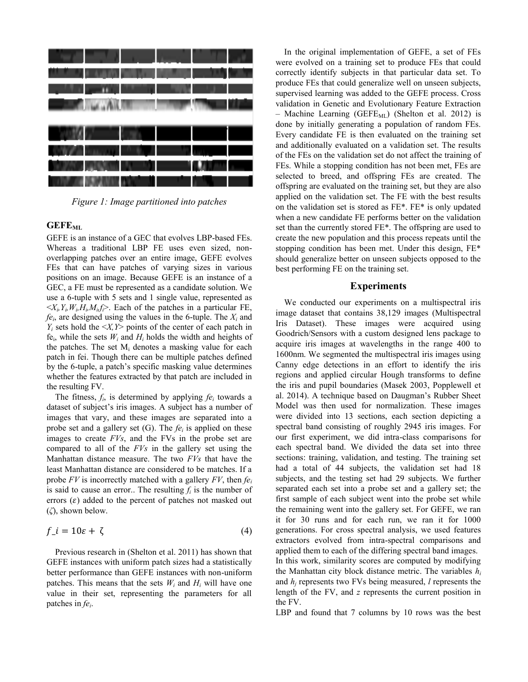

*Figure 1: Image partitioned into patches*

# **GEFEML**

GEFE is an instance of a GEC that evolves LBP-based FEs. Whereas a traditional LBP FE uses even sized, nonoverlapping patches over an entire image, GEFE evolves FEs that can have patches of varying sizes in various positions on an image. Because GEFE is an instance of a GEC, a FE must be represented as a candidate solution. We use a 6-tuple with 5 sets and 1 single value, represented as  $\langle X_i, Y_i, W_i, H_i, M_i, f \rangle$ . Each of the patches in a particular FE,  $f e_i$ , are designed using the values in the 6-tuple. The  $X_i$  and  $Y_i$  sets hold the  $\langle X, Y \rangle$  points of the center of each patch in fe<sub>i</sub>, while the sets  $W_i$  and  $H_i$  holds the width and heights of the patches. The set  $M_i$  denotes a masking value for each patch in fei. Though there can be multiple patches defined by the 6-tuple, a patch's specific masking value determines whether the features extracted by that patch are included in the resulting FV.

The fitness,  $f_i$ , is determined by applying  $fe_i$  towards a dataset of subject's iris images. A subject has a number of images that vary, and these images are separated into a probe set and a gallery set (G). The *fe<sup>i</sup>* is applied on these images to create *FVs*, and the FVs in the probe set are compared to all of the *FVs* in the gallery set using the Manhattan distance measure. The two *FVs* that have the least Manhattan distance are considered to be matches. If a probe *FV* is incorrectly matched with a gallery *FV*, then *fe<sup>i</sup>* is said to cause an error.. The resulting  $f_i$  is the number of errors  $(\varepsilon)$  added to the percent of patches not masked out (*ζ*), shown below.

$$
f_{\perp} i = 10\varepsilon + \zeta \tag{4}
$$

Previous research in (Shelton et al. 2011) has shown that GEFE instances with uniform patch sizes had a statistically better performance than GEFE instances with non-uniform patches. This means that the sets  $W_i$  and  $H_i$  will have one value in their set, representing the parameters for all patches in *fe<sup>i</sup>* .

In the original implementation of GEFE, a set of FEs were evolved on a training set to produce FEs that could correctly identify subjects in that particular data set. To produce FEs that could generalize well on unseen subjects, supervised learning was added to the GEFE process. Cross validation in Genetic and Evolutionary Feature Extraction – Machine Learning (GEFE<sub>ML</sub>) (Shelton et al. 2012) is done by initially generating a population of random FEs. Every candidate FE is then evaluated on the training set and additionally evaluated on a validation set. The results of the FEs on the validation set do not affect the training of FEs. While a stopping condition has not been met, FEs are selected to breed, and offspring FEs are created. The offspring are evaluated on the training set, but they are also applied on the validation set. The FE with the best results on the validation set is stored as FE\*. FE\* is only updated when a new candidate FE performs better on the validation set than the currently stored FE\*. The offspring are used to create the new population and this process repeats until the stopping condition has been met. Under this design, FE\* should generalize better on unseen subjects opposed to the best performing FE on the training set.

#### **Experiments**

We conducted our experiments on a multispectral iris image dataset that contains 38,129 images (Multispectral Iris Dataset). These images were acquired using Goodrich/Sensors with a custom designed lens package to acquire iris images at wavelengths in the range 400 to 1600nm. We segmented the multispectral iris images using Canny edge detections in an effort to identify the iris regions and applied circular Hough transforms to define the iris and pupil boundaries (Masek 2003, Popplewell et al. 2014). A technique based on Daugman's Rubber Sheet Model was then used for normalization. These images were divided into 13 sections, each section depicting a spectral band consisting of roughly 2945 iris images. For our first experiment, we did intra-class comparisons for each spectral band. We divided the data set into three sections: training, validation, and testing. The training set had a total of 44 subjects, the validation set had 18 subjects, and the testing set had 29 subjects. We further separated each set into a probe set and a gallery set; the first sample of each subject went into the probe set while the remaining went into the gallery set. For GEFE, we ran it for 30 runs and for each run, we ran it for 1000 generations. For cross spectral analysis, we used features extractors evolved from intra-spectral comparisons and applied them to each of the differing spectral band images. In this work, similarity scores are computed by modifying the Manhattan city block distance metric. The variables *h<sup>i</sup>* and *h<sup>j</sup>* represents two FVs being measured, *l* represents the length of the FV, and *z* represents the current position in the FV.

LBP and found that 7 columns by 10 rows was the best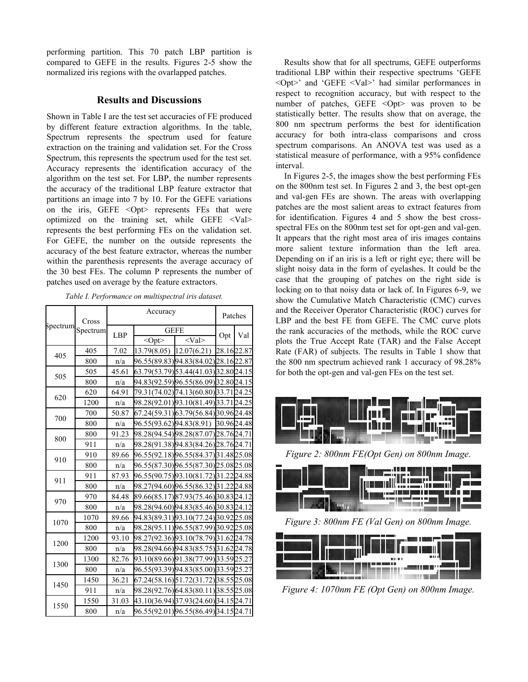performing partition. This 70 patch LBP partition is compared to GEFE in the results. Figures 2-5 show the normalized iris regions with the ovarlapped patches.

## **Results and Discussions**

Shown in Table I are the test set accuracies of FE produced by different feature extraction algorithms. In the table, Spectrum represents the spectrum used for feature extraction on the training and validation set. For the Cross Spectrum, this represents the spectrum used for the test set. Accuracy represents the identification accuracy of the algorithm on the test set. For LBP, the number represents the accuracy of the traditional LBP feature extractor that partitions an image into 7 by 10. For the GEFE variations on the iris, GEFE <Opt> represents FEs that were optimized on the training set, while GEFE <Val> represents the best performing FEs on the validation set. For GEFE, the number on the outside represents the accuracy of the best feature extractor, whereas the number within the parenthesis represents the average accuracy of the 30 best FEs. The column P represents the number of patches used on average by the feature extractors.

| Spectrum | Cross<br>Spectrum | Accuracy   |                                       |                                       | Patches |     |
|----------|-------------------|------------|---------------------------------------|---------------------------------------|---------|-----|
|          |                   | <b>LBP</b> | <b>GEFE</b>                           |                                       |         |     |
|          |                   |            | $<$ Opt $>$                           | $<$ Val $>$                           | Opt     | Val |
| 405      | 405               | 7.02       |                                       | 13.79(8.05) 12.07(6.21) 28.1622.87    |         |     |
|          | 800               | n/a        |                                       | 96.55(89.83)94.83(84.02)28.1622.87    |         |     |
| 505      | 505               | 45.61      |                                       | 63.79(53.79) 53.44(41.03) 32.80 24.15 |         |     |
|          | 800               | n/a        |                                       | 94.83(92.59) 96.55(86.09) 32.80 24.15 |         |     |
| 620      | 620               | 64.91      |                                       | 79.31(74.02) 74.13(60.80) 33.71 24.25 |         |     |
|          | 1200              | n/a        |                                       | 98.28(92.01) 93.10(81.49) 33.71 24.25 |         |     |
| 700      | 700               | 50.87      |                                       | 67.24(59.31) 63.79(56.84) 30.96 24.48 |         |     |
|          | 800               | n/a        |                                       | 96.55(93.62) 94.83(8.91) 30.96 24.48  |         |     |
| 800      | 800               | 91.23      |                                       | 98.28(94.54) 98.28(87.07) 28.76 24.71 |         |     |
|          | 911               | n/a        |                                       | 98.28(91.38) 94.83(84.26) 28.76 24.71 |         |     |
| 910      | 910               | 89.66      |                                       | 96.55(92.18) 96.55(84.37) 31.48 25.08 |         |     |
|          | 800               | n/a        |                                       | 96.55(87.30) 96.55(87.30) 25.08 25.08 |         |     |
| 911      | 911               | 87.93      |                                       | 96.55(90.75) 93.10(81.72) 31.22 24.88 |         |     |
|          | 800               | n/a        |                                       | 98.27(94.60) 96.55(86.32) 31.22 24.88 |         |     |
| 970      | 970               | 84.48      |                                       | 89.66(85.17) 87.93(75.46) 30.83 24.12 |         |     |
|          | 800               | n/a        |                                       | 98.28(94.60) 94.83(85.46) 30.83 24.12 |         |     |
| 1070     | 1070              | 89.66      |                                       | 94.83(89.31) 93.10(77.24) 30.92 25.08 |         |     |
|          | 800               | n/a        |                                       | 98.28(95.11) 96.55(87.99) 30.92 25.08 |         |     |
| 1200     | 1200              | 93.10      |                                       | 98.27(92.36) 93.10(78.79) 31.62 24.78 |         |     |
|          | 800               | n/a        |                                       | 98.28(94.66) 94.83(85.75) 31.62 24.78 |         |     |
| 1300     | 1300              | 82.76      |                                       | 93.10(89.66) 91.38(77.99) 33.59 25.27 |         |     |
|          | 800               | n/a        |                                       | 96.55(93.39)94.83(85.00)33.5925.27    |         |     |
| 1450     | 1450              | 36.21      |                                       | 67.24(58.16) 51.72(31.72) 38.55 25.08 |         |     |
|          | 911               | n/a        |                                       | 98.28(92.76)64.83(80.11)38.5525.08    |         |     |
| 1550     | 1550              | 31.03      |                                       | 43.10(36.94) 37.93(24.60) 34.15 24.71 |         |     |
|          | 800               | n/a        | 96.55(92.01) 96.55(86.49) 34.15 24.71 |                                       |         |     |

*Table I. Performance on multispectral iris dataset.*

Results show that for all spectrums, GEFE outperforms traditional LBP within their respective spectrums 'GEFE <Opt>' and 'GEFE <Val>' had similar performances in respect to recognition accuracy, but with respect to the number of patches, GEFE <Opt> was proven to be statistically better. The results show that on average, the 800 nm spectrum performs the best for identification accuracy for both intra-class comparisons and cross spectrum comparisons. An ANOVA test was used as a statistical measure of performance, with a 95% confidence interval.

In Figures 2-5, the images show the best performing FEs on the 800nm test set. In Figures 2 and 3, the best opt-gen and val-gen FEs are shown. The areas with overlapping patches are the most salient areas to extract features from for identification. Figures 4 and 5 show the best crossspectral FEs on the 800nm test set for opt-gen and val-gen. It appears that the right most area of iris images contains more salient texture information than the left area. Depending on if an iris is a left or right eye; there will be slight noisy data in the form of eyelashes. It could be the case that the grouping of patches on the right side is locking on to that noisy data or lack of. In Figures 6-9, we show the Cumulative Match Characteristic (CMC) curves and the Receiver Operator Characteristic (ROC) curves for LBP and the best FE from GEFE. The CMC curve plots the rank accuracies of the methods, while the ROC curve plots the True Accept Rate (TAR) and the False Accept Rate (FAR) of subjects. The results in Table 1 show that the 800 nm spectrum achieved rank 1 accuracy of 98.28% for both the opt-gen and val-gen FEs on the test set.



*Figure 2: 800nm FE(Opt Gen) on 800nm Image.*



*Figure 3: 800nm FE (Val Gen) on 800nm Image.* 



*Figure 4: 1070nm FE (Opt Gen) on 800nm Image.*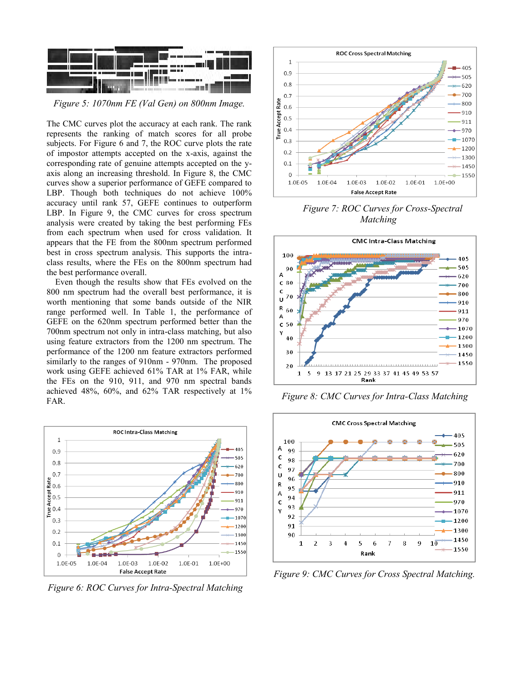

*Figure 5: 1070nm FE (Val Gen) on 800nm Image.*

The CMC curves plot the accuracy at each rank. The rank represents the ranking of match scores for all probe subjects. For Figure 6 and 7, the ROC curve plots the rate of impostor attempts accepted on the x-axis, against the corresponding rate of genuine attempts accepted on the yaxis along an increasing threshold. In Figure 8, the CMC curves show a superior performance of GEFE compared to LBP. Though both techniques do not achieve 100% accuracy until rank 57, GEFE continues to outperform LBP. In Figure 9, the CMC curves for cross spectrum analysis were created by taking the best performing FEs from each spectrum when used for cross validation. It appears that the FE from the 800nm spectrum performed best in cross spectrum analysis. This supports the intraclass results, where the FEs on the 800nm spectrum had the best performance overall.

Even though the results show that FEs evolved on the 800 nm spectrum had the overall best performance, it is worth mentioning that some bands outside of the NIR range performed well. In Table 1, the performance of GEFE on the 620nm spectrum performed better than the 700nm spectrum not only in intra-class matching, but also using feature extractors from the 1200 nm spectrum. The performance of the 1200 nm feature extractors performed similarly to the ranges of 910nm - 970nm. The proposed work using GEFE achieved 61% TAR at 1% FAR, while the FEs on the 910, 911, and 970 nm spectral bands achieved 48%, 60%, and 62% TAR respectively at 1% FAR.



*Figure 6: ROC Curves for Intra-Spectral Matching*



*Figure 7: ROC Curves for Cross-Spectral Matching*



*Figure 8: CMC Curves for Intra-Class Matching*



*Figure 9: CMC Curves for Cross Spectral Matching.*